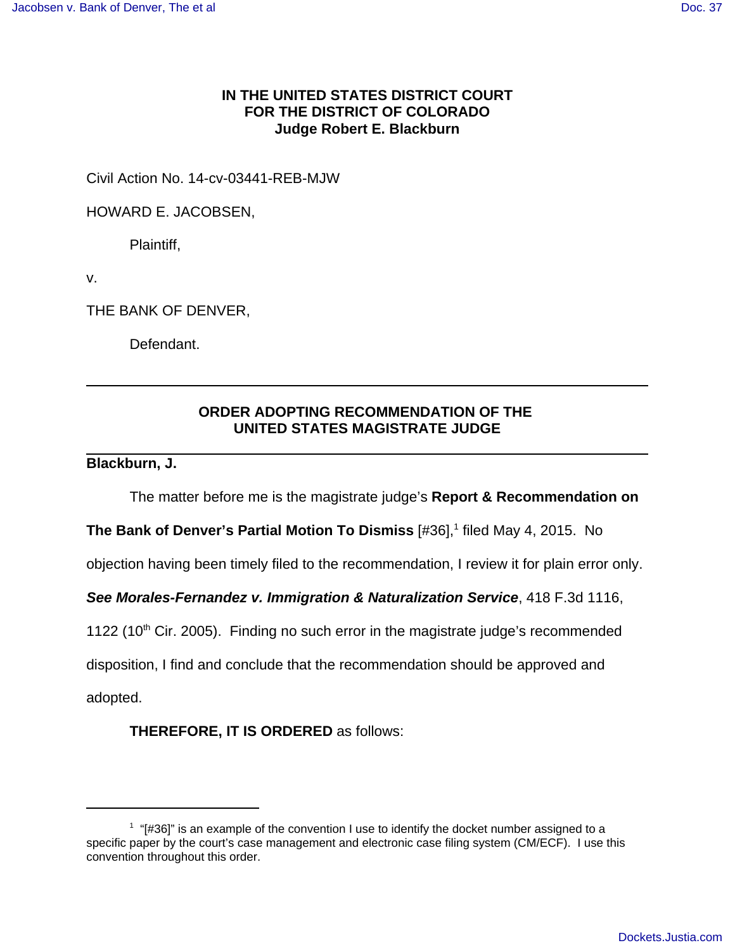## **IN THE UNITED STATES DISTRICT COURT FOR THE DISTRICT OF COLORADO Judge Robert E. Blackburn**

Civil Action No. 14-cv-03441-REB-MJW

HOWARD E. JACOBSEN,

Plaintiff,

v.

THE BANK OF DENVER,

Defendant.

## **ORDER ADOPTING RECOMMENDATION OF THE UNITED STATES MAGISTRATE JUDGE**

## **Blackburn, J.**

The matter before me is the magistrate judge's **Report & Recommendation on**

**The Bank of Denver's Partial Motion To Dismiss** [#36],<sup>1</sup> filed May 4, 2015. No

objection having been timely filed to the recommendation, I review it for plain error only.

**See Morales-Fernandez v. Immigration & Naturalization Service**, 418 F.3d 1116,

1122 (10<sup>th</sup> Cir. 2005). Finding no such error in the magistrate judge's recommended

disposition, I find and conclude that the recommendation should be approved and

adopted.

**THEREFORE, IT IS ORDERED** as follows:

 $1$  "[#36]" is an example of the convention I use to identify the docket number assigned to a specific paper by the court's case management and electronic case filing system (CM/ECF). I use this convention throughout this order.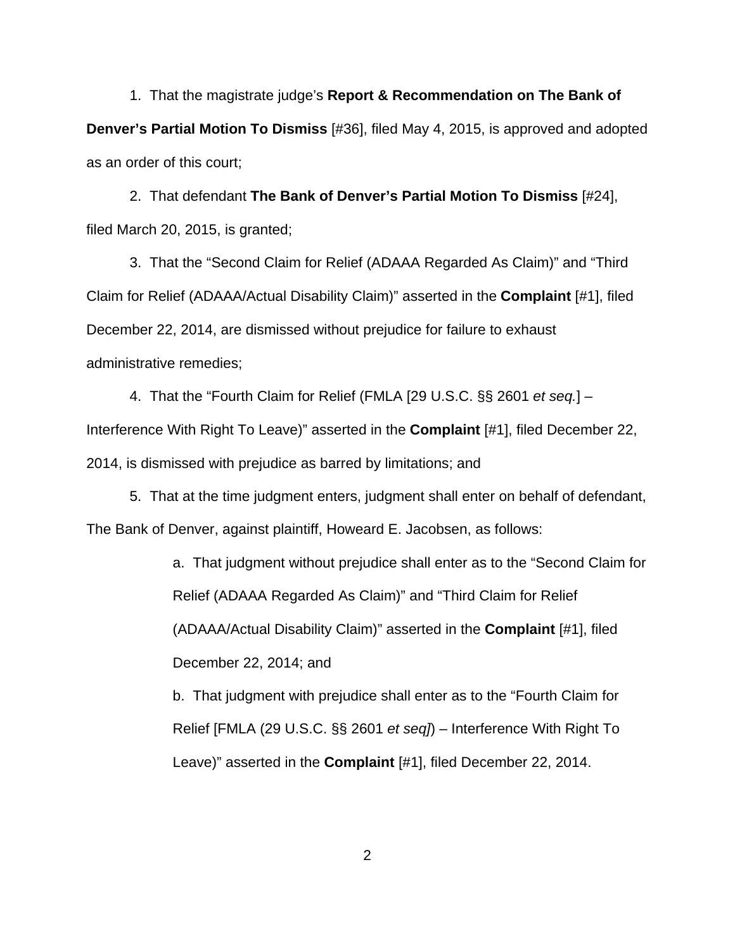1. That the magistrate judge's **Report & Recommendation on The Bank of Denver's Partial Motion To Dismiss** [#36], filed May 4, 2015, is approved and adopted as an order of this court;

2. That defendant **The Bank of Denver's Partial Motion To Dismiss** [#24], filed March 20, 2015, is granted;

3. That the "Second Claim for Relief (ADAAA Regarded As Claim)" and "Third Claim for Relief (ADAAA/Actual Disability Claim)" asserted in the **Complaint** [#1], filed December 22, 2014, are dismissed without prejudice for failure to exhaust administrative remedies;

4. That the "Fourth Claim for Relief (FMLA [29 U.S.C. §§ 2601 et seq.] – Interference With Right To Leave)" asserted in the **Complaint** [#1], filed December 22, 2014, is dismissed with prejudice as barred by limitations; and

5. That at the time judgment enters, judgment shall enter on behalf of defendant, The Bank of Denver, against plaintiff, Howeard E. Jacobsen, as follows:

> a. That judgment without prejudice shall enter as to the "Second Claim for Relief (ADAAA Regarded As Claim)" and "Third Claim for Relief (ADAAA/Actual Disability Claim)" asserted in the **Complaint** [#1], filed December 22, 2014; and

b. That judgment with prejudice shall enter as to the "Fourth Claim for Relief [FMLA (29 U.S.C. §§ 2601 et seq]) – Interference With Right To Leave)" asserted in the **Complaint** [#1], filed December 22, 2014.